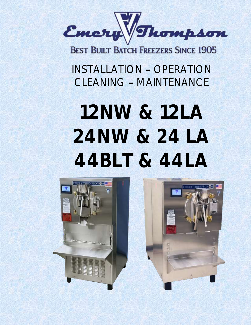

**BEST BUILT BATCH FREEZERS SINCE 1905** 

INSTALLATION - OPERATION CLEANING - MAINTENANCE

# **12NW & 12LA 24NW & 24 LA 44BLT & 44LA**

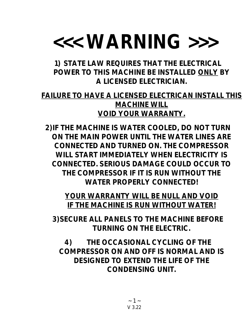## **<<< WARNING >>>**

**1) STATE LAW REQUIRES THAT THE ELECTRICAL POWER TO THIS MACHINE BE INSTALLED ONLY BY A LICENSED ELECTRICIAN.**

**FAILURE TO HAVE A LICENSED ELECTRICAN INSTALL THIS MACHINE WILL VOID YOUR WARRANTY.**

**2)IF THE MACHINE IS WATER COOLED, DO NOT TURN ON THE MAIN POWER UNTIL THE WATER LINES ARE CONNECTED AND TURNED ON. THE COMPRESSOR WILL START IMMEDIATELY WHEN ELECTRICITY IS CONNECTED. SERIOUS DAMAGE COULD OCCUR TO THE COMPRESSOR IF IT IS RUN WITHOUT THE WATER PROPERLY CONNECTED!**

**YOUR WARRANTY WILL BE NULL AND VOID IF THE MACHINE IS RUN WITHOUT WATER!**

**3)SECURE ALL PANELS TO THE MACHINE BEFORE TURNING ON THE ELECTRIC.**

**4) THE OCCASIONAL CYCLING OF THE COMPRESSOR ON AND OFF IS NORMAL AND IS DESIGNED TO EXTEND THE LIFE OF THE CONDENSING UNIT.**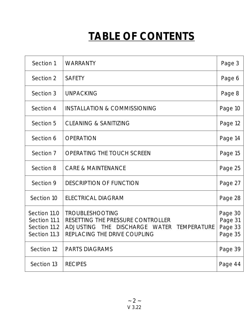## **TABLE OF CONTENTS**

| Section 1                                                    | WARRANTY                                                                                                                                                         | Page 3                                   |
|--------------------------------------------------------------|------------------------------------------------------------------------------------------------------------------------------------------------------------------|------------------------------------------|
| Section 2                                                    | <b>SAFETY</b>                                                                                                                                                    | Page 6                                   |
| Section 3                                                    | <b>UNPACKING</b>                                                                                                                                                 | Page 8                                   |
| Section 4                                                    | <b>INSTALLATION &amp; COMMISSIONING</b>                                                                                                                          | Page 10                                  |
| Section 5                                                    | <b>CLEANING &amp; SANITIZING</b>                                                                                                                                 | Page 12                                  |
| Section 6                                                    | <b>OPERATION</b>                                                                                                                                                 | Page 14                                  |
| Section 7                                                    | OPERATING THE TOUCH SCREEN                                                                                                                                       | Page 15                                  |
| Section 8                                                    | <b>CARE &amp; MAINTENANCE</b>                                                                                                                                    | Page 25                                  |
| Section 9                                                    | <b>DESCRIPTION OF FUNCTION</b>                                                                                                                                   | Page 27                                  |
| Section 10                                                   | ELECTRICAL DIAGRAM                                                                                                                                               | Page 28                                  |
| Section 11.0<br>Section 11.1<br>Section 11.2<br>Section 11.3 | <b>TROUBLESHOOTING</b><br>RESETTING THE PRESSURE CONTROLLER<br><b>TEMPERATURE</b><br>DISCHARGE WATER<br><b>ADJUSTING</b><br>THE.<br>REPLACING THE DRIVE COUPLING | Page 30<br>Page 31<br>Page 33<br>Page 35 |
| Section 12                                                   | <b>PARTS DIAGRAMS</b>                                                                                                                                            | Page 39                                  |
| Section 13                                                   | <b>RECIPES</b>                                                                                                                                                   | Page 44                                  |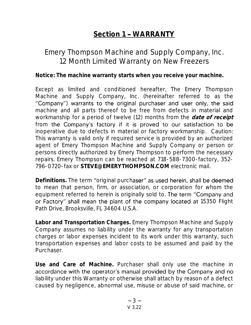## **Section 1 WARRANTY**

## Emery Thompson Machine and Supply Company, Inc. 12 Month Limited Warranty on New Freezers

**Notice: The machine warranty starts when you receive your machine.**

Except as limited and conditioned hereafter, The Emery Thompson Machine and Supply Company, Inc. (hereinafter referred to as the "Company") warrants to the original purchaser and user only, the said machine and all parts thereof to be free from defects in material and workmanship for a period of twelve (12) months from the **date of receipt** from the Company's factory if it is proved to our satisfaction to be inoperative due to defects in material or factory workmanship. Caution: This warranty is valid only if required service is provided by an authorized agent of Emery Thompson Machine and Supply Company or person or persons directly authorized by Emery Thompson to perform the necessary repairs. Emery Thompson can be reached at 718-588-7300-factory, 352- 796-0720-fax or **STEVE@EMERYTHOMPSON.COM** electronic mail.

Definitions. The term "original purchaser" as used herein, shall be deemed to mean that person, firm, or association, or corporation for whom the equipment referred to herein is originally sold to. The term "Company and or Factory" shall mean the plant of the company located at 15350 Flight Path Drive, Brooksville, FL 34604 U.S.A.

**Labor and Transportation Charges.** Emery Thompson Machine and Supply Company assumes no liability under the warranty for any transportation charges or labor expenses incident to its work under this warranty, such transportation expenses and labor costs to be assumed and paid by the Purchaser.

**Use and Care of Machine.** Purchaser shall only use the machine in accordance with the operator's manual provided by the Company and no liability under this Warranty or otherwise shall attach by reason of a defect caused by negligence, abnormal use, misuse or abuse of said machine, or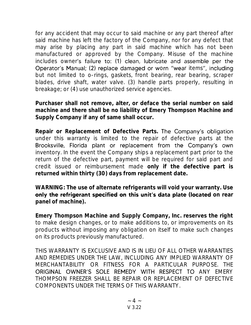for any accident that may occur to said machine or any part thereof after said machine has left the factory of the Company, nor for any defect that may arise by placing any part in said machine which has not been manufactured or approved by the Company. Misuse of the machine includes owner's failure to: (1) clean, lubricate and assemble per the Operator's Manual; (2) replace damaged or worn "wear items", including but not limited to o-rings, gaskets, front bearing, rear bearing, scraper blades, drive shaft, water valve. (3) handle parts properly, resulting in breakage; or (4) use unauthorized service agencies.

**Purchaser shall not remove, alter, or deface the serial number on said machine and there shall be no liability of Emery Thompson Machine and Supply Company if any of same shall occur.**

**Repair or Replacement of Defective Parts.**  under this warranty is limited to the repair of defective parts at the Brooksville, Florida plant or replacement from the Company's own inventory. In the event the Company ships a replacement part prior to the return of the defective part, payment will be required for said part and credit issued or reimbursement made **only if the defective part is returned within thirty (30) days from replacement date.**

**WARNING: The use of alternate refrigerants will void your warranty. Use**  only the refrigerant specified on this unit's data plate (located on rear **panel of machine).**

**Emery Thompson Machine and Supply Company, Inc. reserves the right**  to make design changes, or to make additions to, or improvements on its products without imposing any obligation on itself to make such changes on its products previously manufactured.

THIS WARRANTY IS EXCLUSIVE AND IS IN LIEU OF ALL OTHER WARRANTIES AND REMEDIES UNDER THE LAW, INCLUDING ANY IMPLIED WARRANTY OF MERCHANTABILITY OR FITNESS FOR A PARTICULAR PURPOSE. THE ORIGINAL OWNER'S SOLE REMEDY WITH RESPECT TO ANY EMERY THOMPSON FREEZER SHALL BE REPAIR OR REPLACEMENT OF DEFECTIVE COMPONENTS UNDER THE TERMS OF THIS WARRANTY.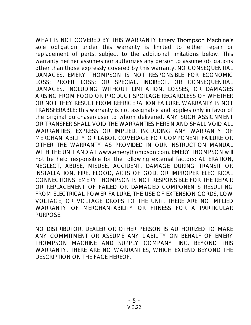WHAT IS NOT COVERED BY THIS WARRANTY Emery Thompson Machine's sole obligation under this warranty is limited to either repair or replacement of parts, subject to the additional limitations below. This warranty neither assumes nor authorizes any person to assume obligations other than those expressly covered by this warranty. NO CONSEQUENTIAL DAMAGES. EMERY THOMPSON IS NOT RESPONSIBLE FOR ECONOMIC LOSS; PROFIT LOSS; OR SPECIAL, INDIRECT, OR CONSEQUENTIAL DAMAGES, INCLUDING WITHOUT LIMITATION, LOSSES, OR DAMAGES ARISING FROM FOOD OR PRODUCT SPOILAGE REGARDLESS OF WHETHER OR NOT THEY RESULT FROM REFRIGERATION FAILURE. WARRANTY IS NOT TRANSFERABLE; this warranty is not assignable and applies only in favor of the original purchaser/user to whom delivered. ANY SUCH ASSIGNMENT OR TRANSFER SHALL VOID THE WARRANTIES HEREIN AND SHALL VOID ALL WARRANTIES, EXPRESS OR IMPLIED, INCLUDING ANY WARRANTY OF MERCHANTABILITY OR LABOR COVERAGE FOR COMPONENT FAILURE OR OTHER THE WARRANTY AS PROVIDED IN OUR INSTRUCTION MANUAL WITH THE UNIT AND AT www.emerythompson.com. EMERY THOMPSON will not be held responsible for the following external factors: ALTERATION, NEGLECT, ABUSE, MISUSE, ACCIDENT, DAMAGE DURING TRANSIT OR INSTALLATION, FIRE, FLOOD, ACTS OF GOD, OR IMPROPER ELECTRICAL CONNECTIONS. EMERY THOMPSON IS NOT RESPONSIBLE FOR THE REPAIR OR REPLACEMENT OF FAILED OR DAMAGED COMPONENTS RESULTING FROM ELECTRICAL POWER FAILURE, THE USE OF EXTENSION CORDS, LOW VOLTAGE, OR VOLTAGE DROPS TO THE UNIT. THERE ARE NO IMPLIED WARRANTY OF MERCHANTABILITY OR FITNESS FOR A PARTICULAR PURPOSE.

NO DISTRIBUTOR, DEALER OR OTHER PERSON IS AUTHORIZED TO MAKE ANY COMMITMENT OR ASSUME ANY LIABILITY ON BEHALF OF EMERY THOMPSON MACHINE AND SUPPLY COMPANY, INC. BEYOND THIS WARRANTY. THERE ARE NO WARRANTIES, WHICH EXTEND BEYOND THE DESCRIPTION ON THE FACE HEREOF.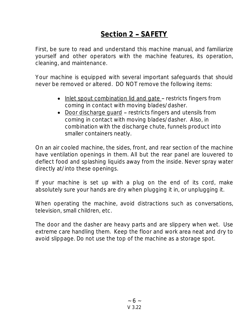## **Section 2 - SAFETY**

First, be sure to read and understand this machine manual, and familiarize yourself and other operators with the machine features, its operation, cleaning, and maintenance.

Your machine is equipped with several important safeguards that should never be removed or altered. DO NOT remove the following items:

- Inlet spout combination lid and gate restricts fingers from coming in contact with moving blades/dasher.
- Door discharge quard restricts fingers and utensils from coming in contact with moving blades/dasher. Also, in combination with the discharge chute, funnels product into smaller containers neatly.

On an air cooled machine, the sides, front, and rear section of the machine have ventilation openings in them. All but the rear panel are louvered to deflect food and splashing liquids away from the inside. Never spray water directly at/into these openings.

If your machine is set up with a plug on the end of its cord, make absolutely sure your hands are dry when plugging it in, or unplugging it.

When operating the machine, avoid distractions such as conversations, television, small children, etc.

The door and the dasher are heavy parts and are slippery when wet. Use extreme care handling them. Keep the floor and work area neat and dry to avoid slippage. Do not use the top of the machine as a storage spot.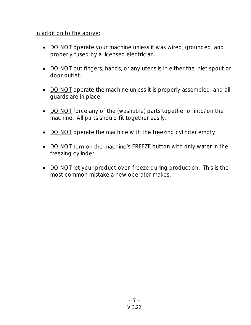#### In addition to the above:

- DO NOT operate your machine unless it was wired, grounded, and properly fused by a licensed electrician.
- DO NOT put fingers, hands, or any utensils in either the inlet spout or door outlet.
- DO NOT operate the machine unless it is properly assembled, and all guards are in place.
- DO NOT force any of the (washable) parts together or into/on the machine. All parts should fit together easily.
- DO NOT operate the machine with the freezing cylinder empty.
- DO NOT turn on the machine's FREEZE button with only water in the freezing cylinder.
- DO NOT let your product over-freeze during production. This is the most common mistake a new operator makes.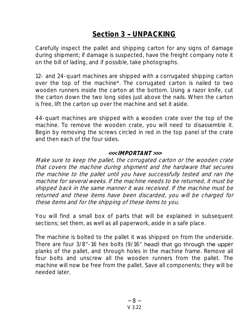## Section 3 - UNPACKING

Carefully inspect the pallet and shipping carton for any signs of damage during shipment; if damage is suspected, have the freight company note it on the bill of lading, and if possible, take photographs.

12- and 24-quart machines are shipped with a corrugated shipping carton over the top of the machine\*. The corrugated carton is nailed to two wooden runners inside the carton at the bottom. Using a razor knife, cut the carton down the two long sides just above the nails. When the carton is free, lift the carton up over the machine and set it aside.

44-quart machines are shipped with a wooden crate over the top of the machine. To remove the wooden crate, you will need to disassemble it. Begin by removing the screws circled in red in the top panel of the crate and then each of the four sides.

#### **<<< IMPORTANT >>>**

Make sure to keep the pallet, the corrugated carton or the wooden crate that covers the machine during shipment and the hardware that secures the machine to the pallet until you have successfully tested and ran the machine for several weeks. If the machine needs to be returned, it must be shipped back in the same manner it was received. If the machine must be returned and these items have been discarded, you will be charged for these items and for the shipping of these items to you.

You will find a small box of parts that will be explained in subsequent sections; set them, as well as all paperwork, aside in a safe place.

The machine is bolted to the pallet it was shipped on from the underside. There are four 3/8"-16 hex bolts (9/16" head) that go through the upper planks of the pallet, and through holes in the machine frame. Remove all four bolts and unscrew all the wooden runners from the pallet. The machine will now be free from the pallet. Save all components; they will be needed later.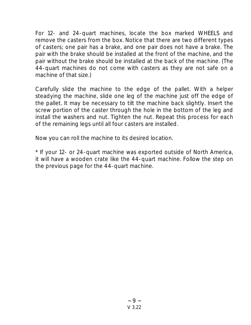For 12- and 24-quart machines, locate the box marked WHEELS and remove the casters from the box. Notice that there are two different types of casters; one pair has a brake, and one pair does not have a brake. The pair with the brake should be installed at the front of the machine, and the pair without the brake should be installed at the back of the machine. (The 44-quart machines do not come with casters as they are not safe on a machine of that size.)

Carefully slide the machine to the edge of the pallet. With a helper steadying the machine, slide one leg of the machine just off the edge of the pallet. It may be necessary to tilt the machine back slightly. Insert the screw portion of the caster through the hole in the bottom of the leg and install the washers and nut. Tighten the nut. Repeat this process for each of the remaining legs until all four casters are installed.

Now you can roll the machine to its desired location.

\* If your 12- or 24-quart machine was exported outside of North America, it will have a wooden crate like the 44-quart machine. Follow the step on the previous page for the 44-quart machine.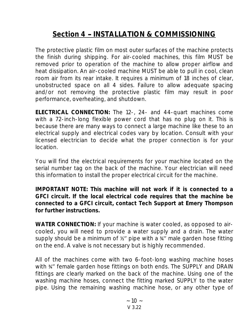## **Section 4 INSTALLATION & COMMISSIONING**

The protective plastic film on most outer surfaces of the machine protects the finish during shipping. For air-cooled machines, this film MUST be removed prior to operation of the machine to allow proper airflow and heat dissipation. An air-cooled machine MUST be able to pull in cool, clean room air from its rear intake. It requires a minimum of 18 inches of clear, unobstructed space on all 4 sides. Failure to allow adequate spacing and/or not removing the protective plastic film may result in poor performance, overheating, and shutdown.

**ELECTRICAL CONNECTION:** The 12-, 24- and 44-quart machines come with a 72-inch-long flexible power cord that has no plug on it. This is because there are many ways to connect a large machine like these to an electrical supply and electrical codes vary by location. Consult with your licensed electrician to decide what the proper connection is for your location.

You will find the electrical requirements for your machine located on the serial number tag on the back of the machine. Your electrician will need this information to install the proper electrical circuit for the machine.

**IMPORTANT NOTE: This machine will not work if it is connected to a GFCI circuit. If the local electrical code requires that the machine be connected to a GFCI circuit, contact Tech Support at Emery Thompson for further instructions.**

**WATER CONNECTION:** If your machine is water cooled, as opposed to aircooled, you will need to provide a water supply and a drain. The water supply should be a minimum of  $\frac{1}{2}$  pipe with a  $\frac{1}{2}$  male garden hose fitting on the end. A valve is not necessary but is highly recommended.

All of the machines come with two 6-foot-long washing machine hoses with %" female garden hose fittings on both ends. The SUPPLY and DRAIN fittings are clearly marked on the back of the machine. Using one of the washing machine hoses, connect the fitting marked SUPPLY to the water pipe. Using the remaining washing machine hose, or any other type of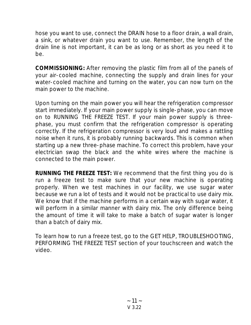hose you want to use, connect the DRAIN hose to a floor drain, a wall drain, a sink, or whatever drain you want to use. Remember, the length of the drain line is not important, it can be as long or as short as you need it to be.

**COMMISSIONING:** After removing the plastic film from all of the panels of your air-cooled machine, connecting the supply and drain lines for your water-cooled machine and turning on the water, you can now turn on the main power to the machine.

Upon turning on the main power you will hear the refrigeration compressor start immediately. If your main power supply is single-phase, you can move on to RUNNING THE FREEZE TEST. If your main power supply is threephase, you must confirm that the refrigeration compressor is operating correctly. If the refrigeration compressor is very loud and makes a rattling noise when it runs, it is probably running backwards. This is common when starting up a new three-phase machine. To correct this problem, have your electrician swap the black and the white wires where the machine is connected to the main power.

**RUNNING THE FREEZE TEST:** We recommend that the first thing you do is run a freeze test to make sure that your new machine is operating properly. When we test machines in our facility, we use sugar water because we run a lot of tests and it would not be practical to use dairy mix. We know that if the machine performs in a certain way with sugar water, it will perform in a similar manner with dairy mix. The only difference being the amount of time it will take to make a batch of sugar water is longer than a batch of dairy mix.

To learn how to run a freeze test, go to the GET HELP, TROUBLESHOOTING, PERFORMING THE FREEZE TEST section of your touchscreen and watch the video.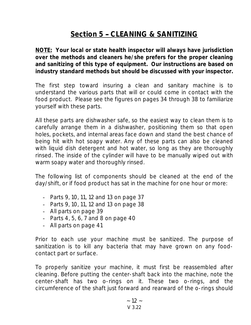## **Section 5 - CLEANING & SANITIZING**

**NOTE: Your local or state health inspector will always have jurisdiction over the methods and cleaners he/she prefers for the proper cleaning and sanitizing of this type of equipment. Our instructions are based on industry standard methods but should be discussed with your inspector.**

The first step toward insuring a clean and sanitary machine is to understand the various parts that will or could come in contact with the food product. Please see the figures on pages 34 through 38 to familiarize yourself with these parts.

All these parts are dishwasher safe, so the easiest way to clean them is to carefully arrange them in a dishwasher, positioning them so that open holes, pockets, and internal areas face down and stand the best chance of being hit with hot soapy water. Any of these parts can also be cleaned with liquid dish detergent and hot water, so long as they are thoroughly rinsed. The inside of the cylinder will have to be manually wiped out with warm soapy water and thoroughly rinsed.

The following list of components should be cleaned at the end of the day/shift, or if food product has sat in the machine for one hour or more:

- Parts 9, 10, 11, 12 and 13 on page 37
- Parts 9, 10, 11, 12 and 13 on page 38
- All parts on page 39
- Parts 4, 5, 6, 7 and 8 on page 40
- All parts on page 41

Prior to each use your machine must be sanitized. The purpose of sanitization is to kill any bacteria that may have grown on any foodcontact part or surface.

To properly sanitize your machine, it must first be reassembled after cleaning. Before putting the center-shaft back into the machine, note the center-shaft has two o-rings on it. These two o-rings, and the circumference of the shaft just forward and rearward of the o-rings should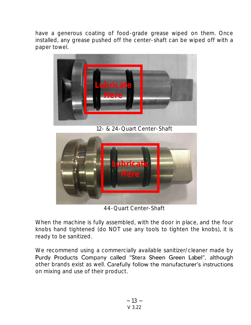have a generous coating of food-grade grease wiped on them. Once installed, any grease pushed off the center-shaft can be wiped off with a paper towel.



12- & 24-Quart Center-Shaft



44-Quart Center-Shaft

When the machine is fully assembled, with the door in place, and the four knobs hand tightened (do NOT use any tools to tighten the knobs), it is ready to be sanitized.

We recommend using a commercially available sanitizer/cleaner made by Purdy Products Company called "Stera Sheen Green Label", although other brands exist as well. Carefully follow the manufacturer's instructions on mixing and use of their product.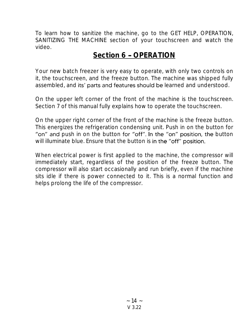To learn how to sanitize the machine, go to the GET HELP, OPERATION, SANITIZING THE MACHINE section of your touchscreen and watch the video.

## **Section 6 OPERATION**

Your new batch freezer is very easy to operate, with only two controls on it, the touchscreen, and the freeze button. The machine was shipped fully assembled, and its' parts and features should be learned and understood.

On the upper left corner of the front of the machine is the touchscreen. Section 7 of this manual fully explains how to operate the touchscreen.

On the upper right corner of the front of the machine is the freeze button. This energizes the refrigeration condensing unit. Push in on the button for "on" and push in on the button for "off". In the "on" position, the button will illuminate blue. Ensure that the button is in the "off" position.

When electrical power is first applied to the machine, the compressor will immediately start, regardless of the position of the freeze button. The compressor will also start occasionally and run briefly, even if the machine sits idle if there is power connected to it. This is a normal function and helps prolong the life of the compressor.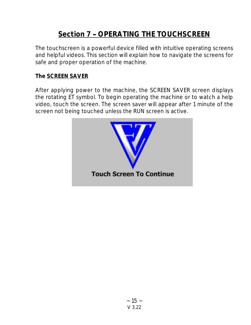## **Section 7 OPERATING THE TOUCHSCREEN**

The touchscreen is a powerful device filled with intuitive operating screens and helpful videos. This section will explain how to navigate the screens for safe and proper operation of the machine.

### **The SCREEN SAVER**

After applying power to the machine, the SCREEN SAVER screen displays the rotating ET symbol. To begin operating the machine or to watch a help video, touch the screen. The screen saver will appear after 1 minute of the screen not being touched unless the RUN screen is active.

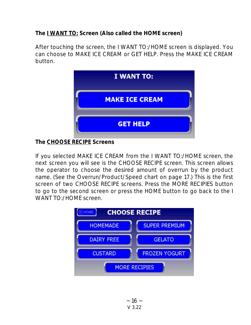**The I WANT TO: Screen (Also called the HOME screen)**

After touching the screen, the I WANT TO:/HOME screen is displayed. You can choose to MAKE ICE CREAM or GET HELP. Press the MAKE ICE CREAM button.



**The CHOOSE RECIPE Screens**

If you selected MAKE ICE CREAM from the I WANT TO:/HOME screen, the next screen you will see is the CHOOSE RECIPE screen. This screen allows the operator to choose the desired amount of overrun by the product name. (See the Overrun/Product/Speed chart on page 17.) This is the first screen of two CHOOSE RECIPE screens. Press the MORE RECIPIES button to go to the second screen or press the HOME button to go back to the I WANT TO:/HOME screen.

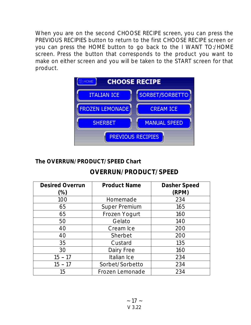When you are on the second CHOOSE RECIPE screen, you can press the PREVIOUS RECIPIES button to return to the first CHOOSE RECIPE screen or you can press the HOME button to go back to the I WANT TO:/HOME screen. Press the button that corresponds to the product you want to make on either screen and you will be taken to the START screen for that product.



### **The OVERRUN/PRODUCT/SPEED Chart**

## **OVERRUN/PRODUCT/SPEED**

| <b>Desired Overrun</b> | <b>Product Name</b>  | Dasher Speed |
|------------------------|----------------------|--------------|
| (%)                    |                      | (RPM)        |
| 100                    | Homemade             | 234          |
| 65                     | <b>Super Premium</b> | 165          |
| 65                     | Frozen Yogurt        | 160          |
| 50                     | Gelato               | 140          |
| 40                     | Cream Ice            | 200          |
| 40                     | Sherbet              | 200          |
| 35                     | Custard              | 135          |
| 30                     | Dairy Free           | 160          |
| $15 - 17$              | Italian Ice          | 234          |
| $15 - 17$              | Sorbet/Sorbetto      | 234          |
| 15                     | Frozen Lemonade      | 234          |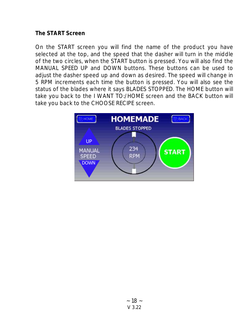#### **The START Screen**

On the START screen you will find the name of the product you have selected at the top, and the speed that the dasher will turn in the middle of the two circles, when the START button is pressed. You will also find the MANUAL SPEED UP and DOWN buttons. These buttons can be used to adjust the dasher speed up and down as desired. The speed will change in 5 RPM increments each time the button is pressed. You will also see the status of the blades where it says BLADES STOPPED. The HOME button will take you back to the I WANT TO:/HOME screen and the BACK button will take you back to the CHOOSE RECIPE screen.

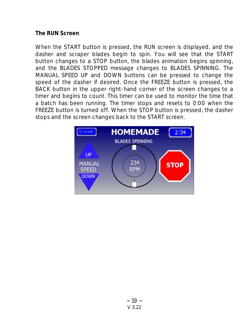#### **The RUN Screen**

When the START button is pressed, the RUN screen is displayed, and the dasher and scraper blades begin to spin. You will see that the START button changes to a STOP button, the blades animation begins spinning, and the BLADES STOPPED message changes to BLADES SPINNING. The MANUAL SPEED UP and DOWN buttons can be pressed to change the speed of the dasher if desired. Once the FREEZE button is pressed, the BACK button in the upper right-hand corner of the screen changes to a timer and begins to count. This timer can be used to monitor the time that a batch has been running. The timer stops and resets to 0:00 when the FREEZE button is turned off. When the STOP button is pressed, the dasher stops and the screen changes back to the START screen.

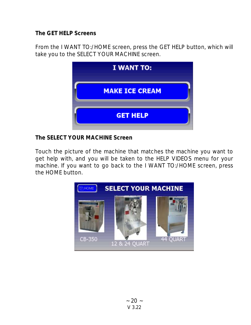**The GET HELP Screens**

From the I WANT TO:/HOME screen, press the GET HELP button, which will take you to the SELECT YOUR MACHINE screen.

| I WANT TO:            |  |
|-----------------------|--|
| <b>MAKE ICE CREAM</b> |  |
| <b>GET HELP</b>       |  |

**The SELECT YOUR MACHINE Screen**

Touch the picture of the machine that matches the machine you want to get help with, and you will be taken to the HELP VIDEOS menu for your machine. If you want to go back to the I WANT TO:/HOME screen, press the HOME button.

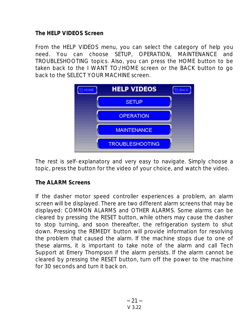**The HELP VIDEOS Screen**

From the HELP VIDEOS menu, you can select the category of help you need. You can choose SETUP, OPERATION, MAINTENANCE and TROUBLESHOOTING topics. Also, you can press the HOME button to be taken back to the I WANT TO:/HOME screen or the BACK button to go back to the SELECT YOUR MACHINE screen.



The rest is self-explanatory and very easy to navigate. Simply choose a topic, press the button for the video of your choice, and watch the video.

#### **The ALARM Screens**

If the dasher motor speed controller experiences a problem, an alarm screen will be displayed. There are two different alarm screens that may be displayed: COMMON ALARMS and OTHER ALARMS. Some alarms can be cleared by pressing the RESET button, while others may cause the dasher to stop turning, and soon thereafter, the refrigeration system to shut down. Pressing the REMEDY button will provide information for resolving the problem that caused the alarm. If the machine stops due to one of these alarms, it is important to take note of the alarm and call Tech Support at Emery Thompson if the alarm persists. If the alarm cannot be cleared by pressing the RESET button, turn off the power to the machine for 30 seconds and turn it back on.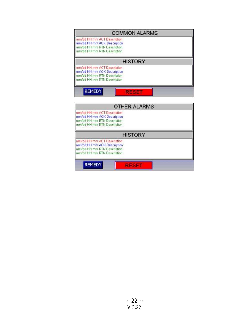| <b>COMMON ALARMS</b>                                       |  |  |  |  |
|------------------------------------------------------------|--|--|--|--|
| mm/dd HH mm ACT Description                                |  |  |  |  |
| mm/dd HH:mm ACK Description<br>mm/dd HH:mm RTN Description |  |  |  |  |
| mm/dd HH mm RTN Description                                |  |  |  |  |
| <b>HISTORY</b>                                             |  |  |  |  |
| mm/dd HH:mm ACT Description                                |  |  |  |  |
| mm/dd HH:mm ACK Description                                |  |  |  |  |
| mm/dd HH mm RTN Description                                |  |  |  |  |
| mm/dd HH: mm RTN Description                               |  |  |  |  |
| <b>REMEDY</b>                                              |  |  |  |  |
|                                                            |  |  |  |  |

| <b>OTHER ALARMS</b>                                                                                                      |  |
|--------------------------------------------------------------------------------------------------------------------------|--|
| mm/dd HH:mm ACT Description<br>mm/dd HH:mm ACK Description<br>mm/dd HH:mm RTN Description<br>mm/dd HH:mm RTN Description |  |
| <b>HISTORY</b>                                                                                                           |  |
| mm/dd HH:mm ACT Description<br>mm/dd HH:mm ACK Description<br>mm/dd HH:mm RTN Description<br>mm/dd HH:mm RTN Description |  |
| <b>REMEDY</b>                                                                                                            |  |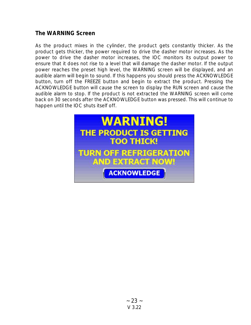#### **The WARNING Screen**

As the product mixes in the cylinder, the product gets constantly thicker. As the product gets thicker, the power required to drive the dasher motor increases. As the power to drive the dasher motor increases, the IOC monitors its output power to ensure that it does not rise to a level that will damage the dasher motor. If the output power reaches the preset high level, the WARNING screen will be displayed, and an audible alarm will begin to sound. If this happens you should press the ACKNOWLEDGE button, turn off the FREEZE button and begin to extract the product. Pressing the ACKNOWLEDGE button will cause the screen to display the RUN screen and cause the audible alarm to stop. If the product is not extracted the WARNING screen will come back on 30 seconds after the ACKNOWLEDGE button was pressed. This will continue to happen until the IOC shuts itself off.

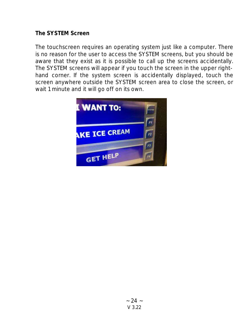#### **The SYSTEM Screen**

The touchscreen requires an operating system just like a computer. There is no reason for the user to access the SYSTEM screens, but you should be aware that they exist as it is possible to call up the screens accidentally. The SYSTEM screens will appear if you touch the screen in the upper righthand corner. If the system screen is accidentally displayed, touch the screen anywhere outside the SYSTEM screen area to close the screen, or wait 1 minute and it will go off on its own.

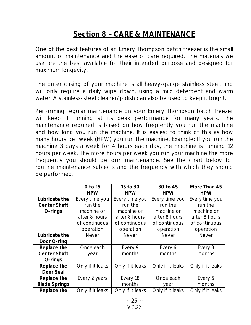## **Section 8 CARE & MAINTENANCE**

One of the best features of an Emery Thompson batch freezer is the small amount of maintenance and the ease of care required. The materials we use are the best available for their intended purpose and designed for maximum longevity.

The outer casing of your machine is all heavy-gauge stainless steel, and will only require a daily wipe down, using a mild detergent and warm water. A stainless-steel cleaner/polish can also be used to keep it bright.

Performing regular maintenance on your Emery Thompson batch freezer will keep it running at its peak performance for many years. The maintenance required is based on how frequently you run the machine and how long you run the machine. It is easiest to think of this as how many hours per week (HPW) you run the machine. Example: If you run the machine 3 days a week for 4 hours each day, the machine is running 12 hours per week. The more hours per week you run your machine the more frequently you should perform maintenance. See the chart below for routine maintenance subjects and the frequency with which they should be performed.

|                      | 0 to 15          | 15 to 30         | 30 to 45         | More Than 45     |
|----------------------|------------------|------------------|------------------|------------------|
|                      | <b>HPW</b>       | <b>HPW</b>       | <b>HPW</b>       | <b>HPW</b>       |
| Lubricate the        | Every time you   | Every time you   | Every time you   | Every time you   |
| <b>Center Shaft</b>  | run the          | run the          | run the          | run the          |
| O-rings              | machine or       | machine or       | machine or       | machine or       |
|                      | after 8 hours    | after 8 hours    | after 8 hours    | after 8 hours    |
|                      | of continuous    | of continuous    | of continuous    | of continuous    |
|                      | operation        | operation        | operation        | operation        |
| Lubricate the        | Never            | Never            | Never            | Never            |
| Door O-ring          |                  |                  |                  |                  |
| Replace the          | Once each        | Every 9          | Every 6          | Every 3          |
| Center Shaft         | year             | months           | months           | months           |
| O-rings              |                  |                  |                  |                  |
| Replace the          | Only if it leaks | Only if it leaks | Only if it leaks | Only if it leaks |
| Door Seal            |                  |                  |                  |                  |
| Replace the          | Every 2 years    | Every 18         | Once each        | Every 6          |
| <b>Blade Springs</b> |                  | months           | year             | months           |
| Replace the          | Only if it leaks | Only if it leaks | Only if it leaks | Only if it leaks |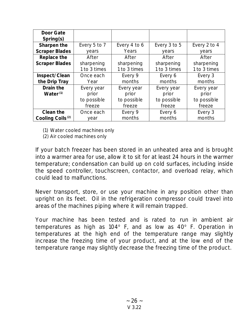| Door Gate                    |              |              |              |              |
|------------------------------|--------------|--------------|--------------|--------------|
| Spring(s)                    |              |              |              |              |
| Sharpen the                  | Every 5 to 7 | Every 4 to 6 | Every 3 to 5 | Every 2 to 4 |
| <b>Scraper Blades</b>        | years        | Years        | years        | years        |
| Replace the                  | After        | After        | After        | After        |
| <b>Scraper Blades</b>        | sharpening   | sharpening   | sharpening   | sharpening   |
|                              | 1 to 3 times | 1 to 3 times | 1 to 3 times | 1 to 3 times |
| Inspect/Clean                | Once each    | Every 9      | Every 6      | Every 3      |
| the Drip Tray                | Year         | months       | months       | months       |
| Drain the                    | Every year   | Every year   | Every year   | Every year   |
| Water <sup>(1)</sup>         | prior        | prior        | prior        | prior        |
|                              | to possible  | to possible  | to possible  | to possible  |
|                              | freeze       | freeze       | freeze       | freeze       |
| Clean the                    | Once each    | Every 9      | Every 6      | Every 3      |
| Cooling Coils <sup>(2)</sup> | year         | months       | months       | months       |

(1) Water cooled machines only

(2) Air cooled machines only

If your batch freezer has been stored in an unheated area and is brought into a warmer area for use, allow it to sit for at least 24 hours in the warmer temperature; condensation can build up on cold surfaces, including inside the speed controller, touchscreen, contactor, and overload relay, which could lead to malfunctions.

Never transport, store, or use your machine in any position other than upright on its feet. Oil in the refrigeration compressor could travel into areas of the machines piping where it will remain trapped.

Your machine has been tested and is rated to run in ambient air temperatures as high as  $104^\circ$  F, and as low as  $40^\circ$  F. Operation in temperatures at the high end of the temperature range may slightly increase the freezing time of your product, and at the low end of the temperature range may slightly decrease the freezing time of the product.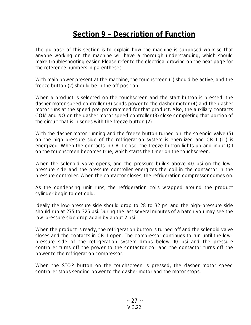## **<u>Section 9 - Description of Function</u>**

The purpose of this section is to explain how the machine is supposed work so that anyone working on the machine will have a thorough understanding, which should make troubleshooting easier. Please refer to the electrical drawing on the next page for the reference numbers in parentheses.

With main power present at the machine, the touchscreen (1) should be active, and the freeze button (2) should be in the off position.

When a product is selected on the touchscreen and the start button is pressed, the dasher motor speed controller (3) sends power to the dasher motor (4) and the dasher motor runs at the speed pre-programmed for that product. Also, the auxiliary contacts COM and NO on the dasher motor speed controller (3) close completing that portion of the circuit that is in series with the freeze button (2).

With the dasher motor running and the freeze button turned on, the solenoid valve (5) on the high-pressure side of the refrigeration system is energized and CR-1 (11) is energized. When the contacts in CR-1 close, the freeze button lights up and input Q1 on the touchscreen becomes true, which starts the timer on the touchscreen.

When the solenoid valve opens, and the pressure builds above 40 psi on the lowpressure side and the pressure controller energizes the coil in the contactor in the pressure controller. When the contactor closes, the refrigeration compressor comes on.

As the condensing unit runs, the refrigeration coils wrapped around the product cylinder begin to get cold.

Ideally the low-pressure side should drop to 28 to 32 psi and the high-pressure side should run at 275 to 325 psi. During the last several minutes of a batch you may see the low-pressure side drop again by about 2 psi.

When the product is ready, the refrigeration button is turned off and the solenoid valve closes and the contacts in CR-1 open. The compressor continues to run until the lowpressure side of the refrigeration system drops below 10 psi and the pressure controller turns off the power to the contactor coil and the contactor turns off the power to the refrigeration compressor.

When the STOP button on the touchscreen is pressed, the dasher motor speed controller stops sending power to the dasher motor and the motor stops.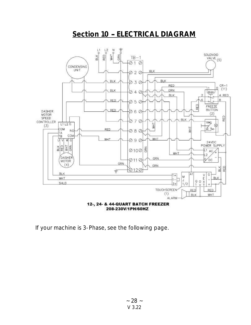## **Section 10 ELECTRICAL DIAGRAM**



208-230V/1PH/60HZ

If your machine is 3-Phase, see the following page.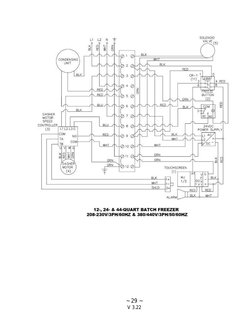

#### 12-, 24- & 44-QUART BATCH FREEZER 208-230V/3PH/60HZ & 380/440V/3PH/50/60HZ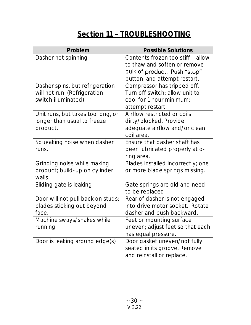## **Section 11 - TROUBLESHOOTING**

| Problem                                 | <b>Possible Solutions</b>         |
|-----------------------------------------|-----------------------------------|
| Dasher not spinning                     | Contents frozen too stiff - allow |
|                                         | to thaw and soften or remove      |
|                                         | bulk of product. Push "stop"      |
|                                         | button, and attempt restart.      |
| Dasher spins, but refrigeration         | Compressor has tripped off.       |
| will not run. (Refrigeration            | Turn off switch; allow unit to    |
| switch illuminated)                     | cool for 1 hour minimum;          |
|                                         | attempt restart.                  |
| Unit runs, but takes too long, or       | Airflow restricted or coils       |
| longer than usual to freeze             | dirty/blocked. Provide            |
| product.                                | adequate airflow and/or clean     |
|                                         | coil area.                        |
| Squeaking noise when dasher             | Ensure that dasher shaft has      |
| runs.                                   | been lubricated properly at o-    |
|                                         | ring area.                        |
| Grinding noise while making             | Blades installed incorrectly; one |
| product; build-up on cylinder<br>walls. | or more blade springs missing.    |
| Sliding gate is leaking                 | Gate springs are old and need     |
|                                         | to be replaced.                   |
| Door will not pull back on studs;       | Rear of dasher is not engaged     |
| blades sticking out beyond              | into drive motor socket. Rotate   |
| face.                                   | dasher and push backward.         |
| Machine sways/shakes while              | Feet or mounting surface          |
| running                                 | uneven; adjust feet so that each  |
|                                         | has equal pressure.               |
| Door is leaking around edge(s)          | Door gasket uneven/not fully      |
|                                         | seated in its groove. Remove      |
|                                         | and reinstall or replace.         |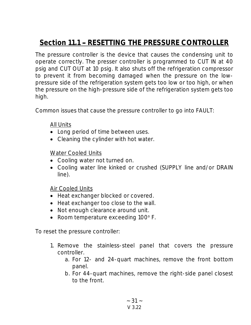## **Section 11.1 RESETTING THE PRESSURE CONTROLLER**

The pressure controller is the device that causes the condensing unit to operate correctly. The presser controller is programmed to CUT IN at 40 psig and CUT OUT at 10 psig. It also shuts off the refrigeration compressor to prevent it from becoming damaged when the pressure on the lowpressure side of the refrigeration system gets too low or too high, or when the pressure on the high-pressure side of the refrigeration system gets too high.

Common issues that cause the pressure controller to go into FAULT:

#### All Units

- Long period of time between uses.
- Cleaning the cylinder with hot water.

#### Water Cooled Units

- Cooling water not turned on.
- Cooling water line kinked or crushed (SUPPLY line and/or DRAIN line).

#### Air Cooled Units

- Heat exchanger blocked or covered.
- Heat exchanger too close to the wall.
- Not enough clearance around unit.
- Room temperature exceeding  $100^\circ$  F.

To reset the pressure controller:

- 1. Remove the stainless-steel panel that covers the pressure controller.
	- a. For 12- and 24-quart machines, remove the front bottom panel.
	- b. For 44-quart machines, remove the right-side panel closest to the front.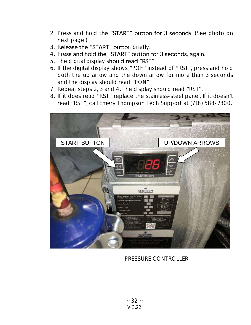- 2. Press and hold the "START" button for 3 seconds. (See photo on next page.)
- 3. Release the "START" button briefly.
- 4. Press and hold the "START" button for 3 seconds, again.
- 5. The digital display should read "RST".
- 6. If the digital display shows "POF" instead of "RST", press and hold both the up arrow and the down arrow for more than 3 seconds and the display should read "PON".
- 7. Repeat steps 2, 3 and 4. The display should read "RST".
- 8. If it does read "RST" replace the stainless-steel panel. If it doesn't read "RST", call Emery Thompson Tech Support at (718) 588-7300.



### PRESSURE CONTROLLER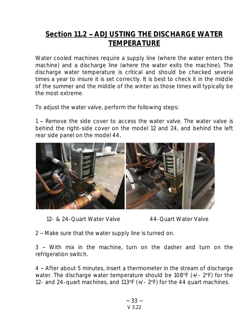## **Section 11.2 ADJUSTING THE DISCHARGE WATER TEMPERATURE**

Water cooled machines require a supply line (where the water enters the machine) and a discharge line (where the water exits the machine). The discharge water temperature is critical and should be checked several times a year to insure it is set correctly. It is best to check it in the middle of the summer and the middle of the winter as those times will typically be the most extreme.

To adjust the water valve, perform the following steps:

1 - Remove the side cover to access the water valve. The water valve is behind the right-side cover on the model 12 and 24, and behind the left rear side panel on the model 44.



12- & 24-Quart Water Valve 44-Quart Water Valve

2 - Make sure that the water supply line is turned on.

3 - With mix in the machine, turn on the dasher and turn on the refrigeration switch.

4 After about 5 minutes, insert a thermometer in the stream of discharge water. The discharge water temperature should be  $108^{\circ}F$  ( $+/- 2^{\circ}F$ ) for the 12- and 24-quart machines, and  $113^{\circ}F$  (+/-  $2^{\circ}F$ ) for the 44 quart machines.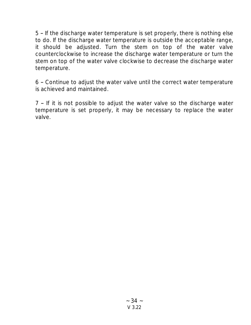5 - If the discharge water temperature is set properly, there is nothing else to do. If the discharge water temperature is outside the acceptable range, it should be adjusted. Turn the stem on top of the water valve counterclockwise to increase the discharge water temperature or turn the stem on top of the water valve clockwise to decrease the discharge water temperature.

6 Continue to adjust the water valve until the correct water temperature is achieved and maintained.

 $7$  - If it is not possible to adjust the water valve so the discharge water temperature is set properly, it may be necessary to replace the water valve.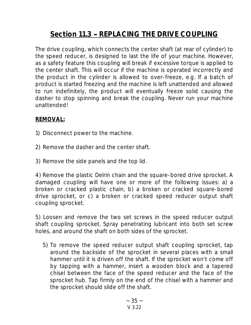## **Section 11.3 - REPLACING THE DRIVE COUPLING**

The drive coupling, which connects the center shaft (at rear of cylinder) to the speed reducer, is designed to last the life of your machine. However, as a safety feature this coupling will break if excessive torque is applied to the center shaft. This will occur if the machine is operated incorrectly and the product in the cylinder is allowed to over-freeze, e.g. If a batch of product is started freezing and the machine is left unattended and allowed to run indefinitely, the product will eventually freeze solid causing the dasher to stop spinning and break the coupling. Never run your machine unattended!

#### **REMOVAL:**

- 1) Disconnect power to the machine.
- 2) Remove the dasher and the center shaft.
- 3) Remove the side panels and the top lid.

4) Remove the plastic Delrin chain and the square-bored drive sprocket. A damaged coupling will have one or more of the following issues: a) a broken or cracked plastic chain, b) a broken or cracked square-bored drive sprocket, or c) a broken or cracked speed reducer output shaft coupling sprocket.

5) Loosen and remove the two set screws in the speed reducer output shaft coupling sprocket. Spray penetrating lubricant into both set screw holes, and around the shaft on both sides of the sprocket.

5) To remove the speed reducer output shaft coupling sprocket, tap around the backside of the sprocket in several places with a small hammer until it is driven off the shaft. If the sprocket won't come off by tapping with a hammer, insert a wooden block and a tapered chisel between the face of the speed reducer and the face of the sprocket hub. Tap firmly on the end of the chisel with a hammer and the sprocket should slide off the shaft.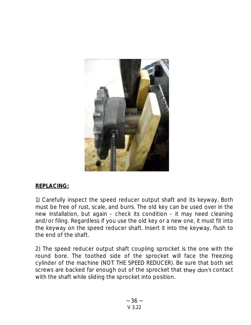

#### **REPLACING:**

1) Carefully inspect the speed reducer output shaft and its keyway. Both must be free of rust, scale, and burrs. The old key can be used over in the new installation, but again - check its condition - it may need cleaning and/or filing. Regardless if you use the old key or a new one, it must fit into the keyway on the speed reducer shaft. Insert it into the keyway, flush to the end of the shaft.

2) The speed reducer output shaft coupling sprocket is the one with the round bore. The toothed side of the sprocket will face the freezing cylinder of the machine (NOT THE SPEED REDUCER). Be sure that both set screws are backed far enough out of the sprocket that they don't contact with the shaft while sliding the sprocket into position.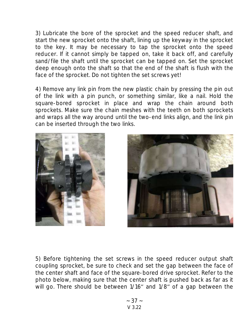3) Lubricate the bore of the sprocket and the speed reducer shaft, and start the new sprocket onto the shaft, lining up the keyway in the sprocket to the key. It may be necessary to tap the sprocket onto the speed reducer. If it cannot simply be tapped on, take it back off, and carefully sand/file the shaft until the sprocket can be tapped on. Set the sprocket deep enough onto the shaft so that the end of the shaft is flush with the face of the sprocket. Do not tighten the set screws yet!

4) Remove any link pin from the new plastic chain by pressing the pin out of the link with a pin punch, or something similar, like a nail. Hold the square-bored sprocket in place and wrap the chain around both sprockets. Make sure the chain meshes with the teeth on both sprockets and wraps all the way around until the two-end links align, and the link pin can be inserted through the two links.





5) Before tightening the set screws in the speed reducer output shaft coupling sprocket, be sure to check and set the gap between the face of the center shaft and face of the square-bored drive sprocket. Refer to the photo below, making sure that the center shaft is pushed back as far as it will go. There should be between 1/16" and 1/8" of a gap between the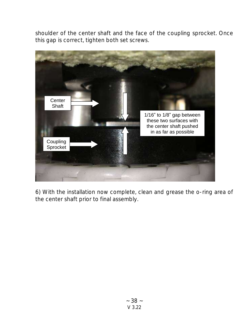shoulder of the center shaft and the face of the coupling sprocket. Once this gap is correct, tighten both set screws.



6) With the installation now complete, clean and grease the o-ring area of the center shaft prior to final assembly.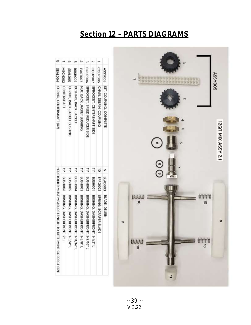## **Section 12 - PARTS DIAGRAMS**

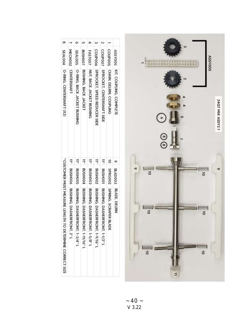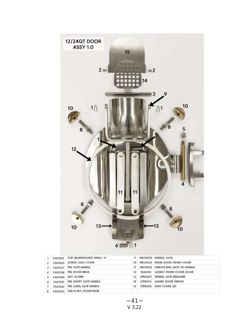

| 2  | <b>FAST020</b> | SCREW. DUST COVER            |        |         | 10 MECH032 KNOB DOOR FRONT COVER    |
|----|----------------|------------------------------|--------|---------|-------------------------------------|
| 3  | <b>FAST037</b> | PIN, GATE HANDLE             | 11     |         | MECH036 LINKAGE BAR, GATE-TO-HANDLE |
|    |                | FAST03B PIN. DOOR HINGE      | $12 -$ | SEAL014 | GASKET, FRONT COVER, DOOR           |
| 5. | <b>FAST040</b> | NUT. ACORN                   | 13.    | SPRG007 | SPRING, GATE PRESSURE               |
| δ  | FAST041        | PIN, SHORT, GATE HANDLE      | 14     | STML013 | <b>GUARD, DOOR THROAT</b>           |
|    | <b>FAST042</b> | PIN. LONG. GATE HANDLE       | 15     | STML025 | DUST COVER, LID                     |
|    |                | FAST043 SUD & NUT, DOOR KNOB |        |         |                                     |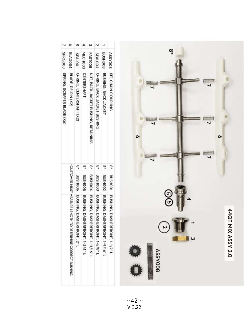

|                                      | <b>BLAD004</b>                                             | <b>SEAL001</b>                    | MECHO03                               | <b>FAST008</b>                      | <b>SEAL003</b>                | <b>BOOHSNB</b>                 | <b>ASSY008</b>                        |
|--------------------------------------|------------------------------------------------------------|-----------------------------------|---------------------------------------|-------------------------------------|-------------------------------|--------------------------------|---------------------------------------|
| 7 SPRGOO'S SPRING SCRAPER BLADE (X6) | BLADE, DELRIN (X2)                                         | O-RING, CENTERSHAFT (X2)          | <b>CENTERSHAFT</b>                    | NUT, BACK JACKET BUSHING, RETAINING | O-RING, BACK JACKET BUSHING   | BUSHING, BACK JACKET           | KIT, CHAIN COUPLING                   |
|                                      |                                                            |                                   |                                       |                                     |                               |                                |                                       |
|                                      |                                                            |                                   |                                       | <b>BUSHOOA</b>                      | <b>BUSHOOS</b>                | BUSHO02                        |                                       |
|                                      | *CUSTOMER MUST MEASURE LENGTH TO DETERMINE CORRECT BUSHING | BUSHOO6 BUSHING, DASHERFRONT, 2"L | BUSHOOS BUSHING, DASHERFRONT, 1-3/4"L | BUSHING, DASHERERONT, 1-11/16"L     | BUSHING, DASHERERONT, 1-5/8"L | BUSHING, DASHERFRONT, 1-9/16"L | BUSHOOT BUSHING, DASHERFRONT, 1-1/2"L |

 $~-$  42  $~-$ V 3.22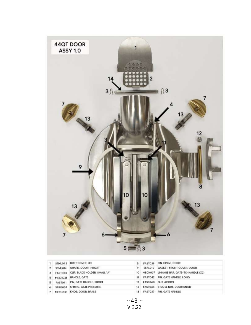

|   | <b>STML043</b> | DUST COVER, LID               | 8  | <b>FAST039</b> | PIN, HINGE, DOOR                  |
|---|----------------|-------------------------------|----|----------------|-----------------------------------|
|   | <b>STML014</b> | <b>GUARD, DOOR THROAT</b>     | 9  | SEAL015        | GASKET, FRONT COVER, DOOR         |
|   | <b>FAST003</b> | CLIP. BLADE HOLDER. SMALL "A" | 10 | MECH037        | LINKAGE BAR, GATE-TO-HANDLE (X2). |
|   | MECH031        | HANDLE, GATE                  | 11 | <b>FAST042</b> | PIN, GATE HANDLE, LONG            |
| 5 | <b>FAST041</b> | PIN, GATE HANDLE, SHORT       | 12 | FAST040        | NUT, ACORN                        |
| 6 | SPRG007        | SPRING, GATE PRESSURE         | 13 | FAST044        | STUD & NUT. DOOR KNOB             |
|   | MECH033        | KNOB, DOOR, BRASS             | 14 | FAST037        | PIN. GATE HANDLE                  |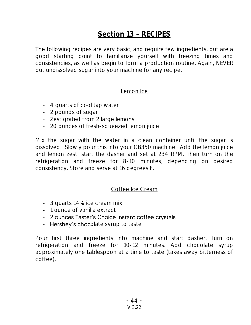## Section 13 - RECIPES

The following recipes are very basic, and require few ingredients, but are a good starting point to familiarize yourself with freezing times and consistencies, as well as begin to form a production routine. Again, NEVER put undissolved sugar into your machine for any recipe.

#### Lemon Ice

- 4 quarts of cool tap water
- 2 pounds of sugar
- Zest grated from 2 large lemons
- 20 ounces of fresh-squeezed lemon juice

Mix the sugar with the water in a clean container until the sugar is dissolved. Slowly pour this into your CB350 machine. Add the lemon juice and lemon zest; start the dasher and set at 234 RPM. Then turn on the refrigeration and freeze for 8-10 minutes, depending on desired consistency. Store and serve at 16 degrees F.

#### Coffee Ice Cream

- 3 quarts 14% ice cream mix
- 1 ounce of vanilla extract
- 2 ounces Taster's Choice instant coffee crystals
- Hershey's chocolate syrup to taste

Pour first three ingredients into machine and start dasher. Turn on refrigeration and freeze for 10-12 minutes. Add chocolate syrup approximately one tablespoon at a time to taste (takes away bitterness of coffee).